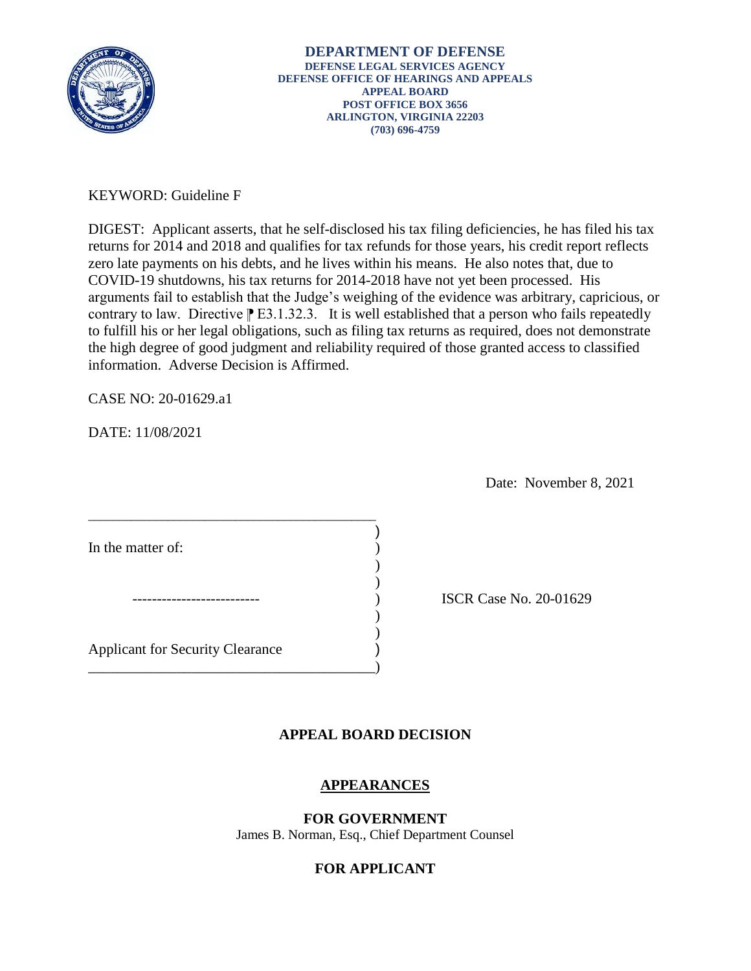

# KEYWORD: Guideline F

DIGEST: Applicant asserts, that he self-disclosed his tax filing deficiencies, he has filed his tax returns for 2014 and 2018 and qualifies for tax refunds for those years, his credit report reflects zero late payments on his debts, and he lives within his means. He also notes that, due to COVID-19 shutdowns, his tax returns for 2014-2018 have not yet been processed. His arguments fail to establish that the Judge's weighing of the evidence was arbitrary, capricious, or contrary to law. Directive  $\mathbb{P}$  E3.1.32.3. It is well established that a person who fails repeatedly to fulfill his or her legal obligations, such as filing tax returns as required, does not demonstrate the high degree of good judgment and reliability required of those granted access to classified information. Adverse Decision is Affirmed.

CASE NO: 20-01629.a1

DATE: 11/08/2021

Date: November 8, 2021

In the matter of:

) ISCR Case No. 20-01629

Applicant for Security Clearance )

\_\_\_\_\_\_\_\_\_\_\_\_\_\_\_\_\_\_\_\_\_\_\_\_\_\_\_\_\_\_\_\_\_\_\_\_\_\_\_\_\_\_\_\_\_\_\_

 $\overline{\phantom{a}}$  $)$ 

\_\_\_\_\_\_\_\_\_\_\_\_\_\_\_\_\_\_\_\_\_\_\_\_\_\_\_\_\_\_\_\_\_\_\_\_\_\_\_)

## **APPEAL BOARD DECISION**

)

) )

## **APPEARANCES**

**FOR GOVERNMENT**  James B. Norman, Esq., Chief Department Counsel

## **FOR APPLICANT**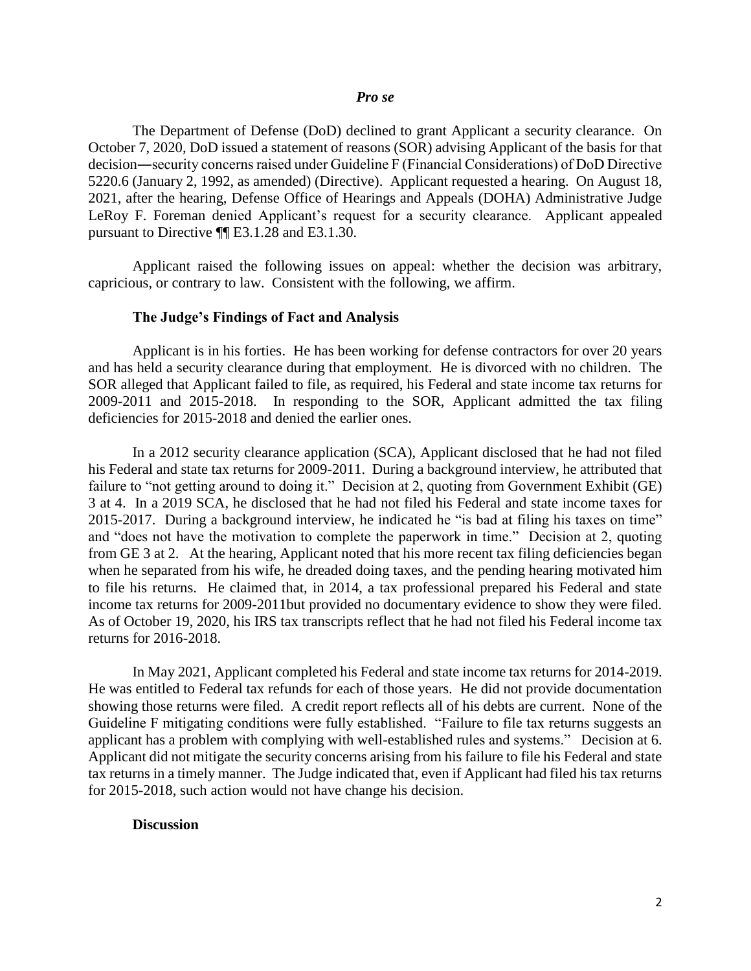#### *Pro se*

 The Department of Defense (DoD) declined to grant Applicant a security clearance. On October 7, 2020, DoD issued a statement of reasons (SOR) advising Applicant of the basis for that decision―security concerns raised under Guideline F (Financial Considerations) of DoD Directive 5220.6 (January 2, 1992, as amended) (Directive). Applicant requested a hearing. On August 18, 2021, after the hearing, Defense Office of Hearings and Appeals (DOHA) Administrative Judge LeRoy F. Foreman denied Applicant's request for a security clearance. Applicant appealed pursuant to Directive ¶¶ E3.1.28 and E3.1.30.

Applicant raised the following issues on appeal: whether the decision was arbitrary, capricious, or contrary to law. Consistent with the following, we affirm.

### **The Judge's Findings of Fact and Analysis**

 Applicant is in his forties. He has been working for defense contractors for over 20 years and has held a security clearance during that employment. He is divorced with no children. The SOR alleged that Applicant failed to file, as required, his Federal and state income tax returns for 2009-2011 and 2015-2018. In responding to the SOR, Applicant admitted the tax filing deficiencies for 2015-2018 and denied the earlier ones.

 In a 2012 security clearance application (SCA), Applicant disclosed that he had not filed his Federal and state tax returns for 2009-2011. During a background interview, he attributed that 3 at 4. In a 2019 SCA, he disclosed that he had not filed his Federal and state income taxes for 2015-2017. During a background interview, he indicated he "is bad at filing his taxes on time" and "does not have the motivation to complete the paperwork in time." Decision at 2, quoting from GE 3 at 2. At the hearing, Applicant noted that his more recent tax filing deficiencies began when he separated from his wife, he dreaded doing taxes, and the pending hearing motivated him to file his returns. He claimed that, in 2014, a tax professional prepared his Federal and state income tax returns for 2009-2011but provided no documentary evidence to show they were filed. As of October 19, 2020, his IRS tax transcripts reflect that he had not filed his Federal income tax failure to "not getting around to doing it." Decision at 2, quoting from Government Exhibit (GE) returns for 2016-2018.

 In May 2021, Applicant completed his Federal and state income tax returns for 2014-2019. He was entitled to Federal tax refunds for each of those years. He did not provide documentation Guideline F mitigating conditions were fully established. "Failure to file tax returns suggests an applicant has a problem with complying with well-established rules and systems." Decision at 6. tax returns in a timely manner. The Judge indicated that, even if Applicant had filed his tax returns showing those returns were filed. A credit report reflects all of his debts are current. None of the Applicant did not mitigate the security concerns arising from his failure to file his Federal and state for 2015-2018, such action would not have change his decision.

#### **Discussion**